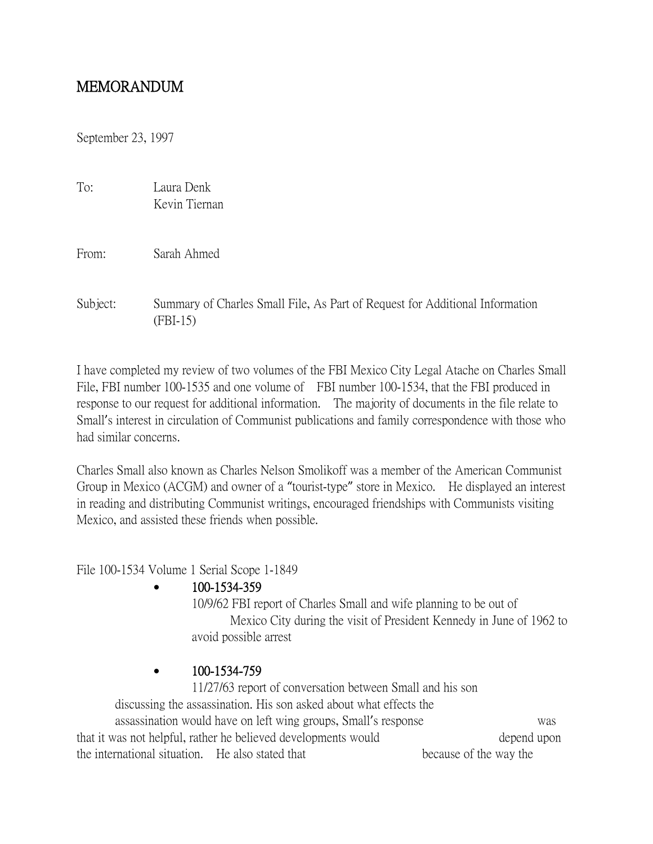## MEMORANDUM

September 23, 1997

| To: | Laura Denk    |
|-----|---------------|
|     | Kevin Tiernan |

From: Sarah Ahmed

Subject: Summary of Charles Small File, As Part of Request for Additional Information (FBI-15)

I have completed my review of two volumes of the FBI Mexico City Legal Atache on Charles Small File, FBI number 100-1535 and one volume of FBI number 100-1534, that the FBI produced in response to our request for additional information. The majority of documents in the file relate to Small's interest in circulation of Communist publications and family correspondence with those who had similar concerns.

Charles Small also known as Charles Nelson Smolikoff was a member of the American Communist Group in Mexico (ACGM) and owner of a "tourist-type" store in Mexico. He displayed an interest in reading and distributing Communist writings, encouraged friendships with Communists visiting Mexico, and assisted these friends when possible.

File 100-1534 Volume 1 Serial Scope 1-1849

## 100-1534-359

10/9/62 FBI report of Charles Small and wife planning to be out of Mexico City during the visit of President Kennedy in June of 1962 to avoid possible arrest

## $\bullet$  100-1534-759

11/27/63 report of conversation between Small and his son discussing the assassination. His son asked about what effects the assassination would have on left wing groups, Small's response was that it was not helpful, rather he believed developments would depend upon the international situation. He also stated that because of the way the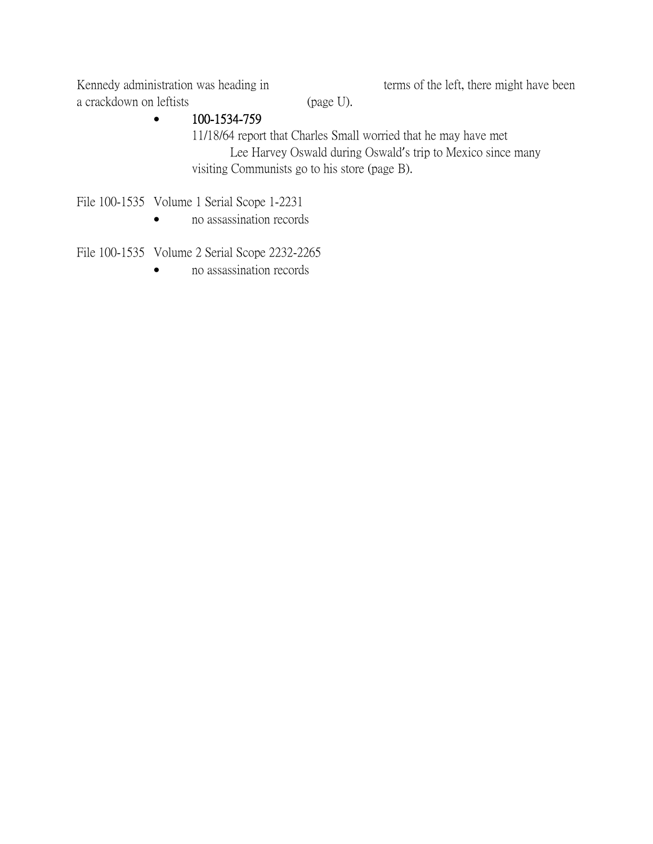Kennedy administration was heading in terms of the left, there might have been a crackdown on leftists (page U).

## $\bullet$  100-1534-759

11/18/64 report that Charles Small worried that he may have met Lee Harvey Oswald during Oswald's trip to Mexico since many visiting Communists go to his store (page B).

File 100-1535 Volume 1 Serial Scope 1-2231

• no assassination records

File 100-1535 Volume 2 Serial Scope 2232-2265

• no assassination records